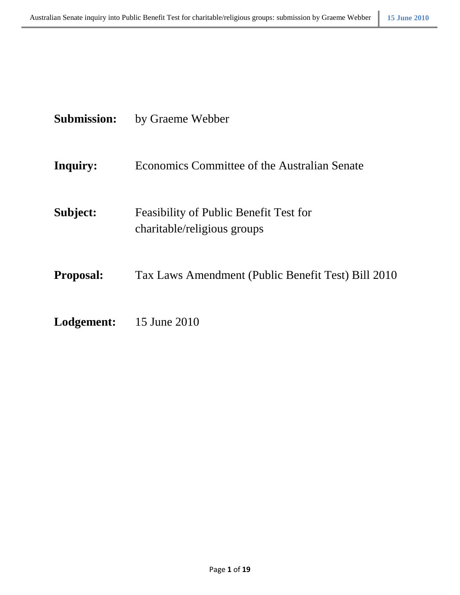| <b>Submission:</b> | by Graeme Webber |
|--------------------|------------------|
|--------------------|------------------|

- **Inquiry:** Economics Committee of the Australian Senate
- **Subject:** Feasibility of Public Benefit Test for charitable/religious groups
- **Proposal:** Tax Laws Amendment (Public Benefit Test) Bill 2010
- **Lodgement:** 15 June 2010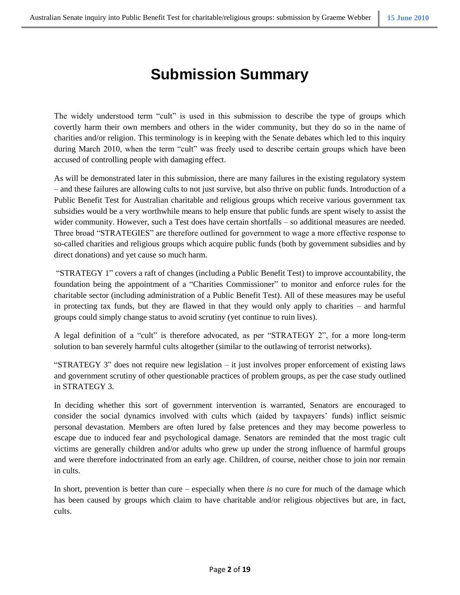# **Submission Summary**

The widely understood term "cult" is used in this submission to describe the type of groups which covertly harm their own members and others in the wider community, but they do so in the name of charities and/or religion. This terminology is in keeping with the Senate debates which led to this inquiry during March 2010, when the term "cult" was freely used to describe certain groups which have been accused of controlling people with damaging effect.

As will be demonstrated later in this submission, there are many failures in the existing regulatory system – and these failures are allowing cults to not just survive, but also thrive on public funds. Introduction of a Public Benefit Test for Australian charitable and religious groups which receive various government tax subsidies would be a very worthwhile means to help ensure that public funds are spent wisely to assist the wider community. However, such a Test does have certain shortfalls – so additional measures are needed. Three broad "STRATEGIES" are therefore outlined for government to wage a more effective response to so-called charities and religious groups which acquire public funds (both by government subsidies and by direct donations) and yet cause so much harm.

"STRATEGY 1" covers a raft of changes (including a Public Benefit Test) to improve accountability, the foundation being the appointment of a "Charities Commissioner" to monitor and enforce rules for the charitable sector (including administration of a Public Benefit Test). All of these measures may be useful in protecting tax funds, but they are flawed in that they would only apply to charities – and harmful groups could simply change status to avoid scrutiny (yet continue to ruin lives).

A legal definition of a "cult" is therefore advocated, as per "STRATEGY 2", for a more long-term solution to ban severely harmful cults altogether (similar to the outlawing of terrorist networks).

"STRATEGY 3" does not require new legislation – it just involves proper enforcement of existing laws and government scrutiny of other questionable practices of problem groups, as per the case study outlined in STRATEGY 3.

In deciding whether this sort of government intervention is warranted, Senators are encouraged to consider the social dynamics involved with cults which (aided by taxpayers' funds) inflict seismic personal devastation. Members are often lured by false pretences and they may become powerless to escape due to induced fear and psychological damage. Senators are reminded that the most tragic cult victims are generally children and/or adults who grew up under the strong influence of harmful groups and were therefore indoctrinated from an early age. Children, of course, neither chose to join nor remain in cults.

In short, prevention is better than cure – especially when there *is* no cure for much of the damage which has been caused by groups which claim to have charitable and/or religious objectives but are, in fact, cults.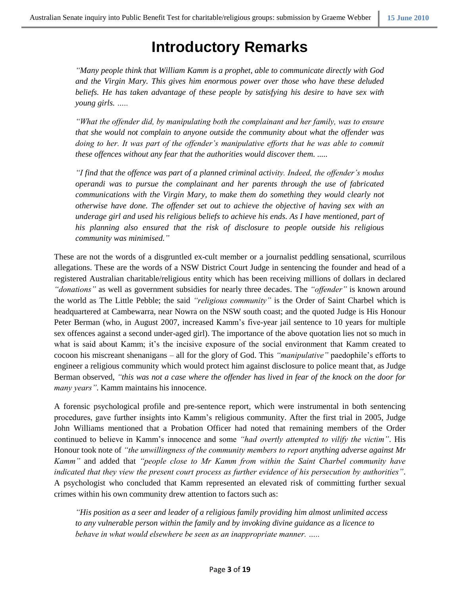# **Introductory Remarks**

*"Many people think that William Kamm is a prophet, able to communicate directly with God and the Virgin Mary. This gives him enormous power over those who have these deluded beliefs. He has taken advantage of these people by satisfying his desire to have sex with young girls. …..*

*"What the offender did, by manipulating both the complainant and her family, was to ensure that she would not complain to anyone outside the community about what the offender was doing to her. It was part of the offender's manipulative efforts that he was able to commit these offences without any fear that the authorities would discover them. .....*

*"I find that the offence was part of a planned criminal activity. Indeed, the offender's modus operandi was to pursue the complainant and her parents through the use of fabricated communications with the Virgin Mary, to make them do something they would clearly not otherwise have done. The offender set out to achieve the objective of having sex with an underage girl and used his religious beliefs to achieve his ends. As I have mentioned, part of his planning also ensured that the risk of disclosure to people outside his religious community was minimised."*

These are not the words of a disgruntled ex-cult member or a journalist peddling sensational, scurrilous allegations. These are the words of a NSW District Court Judge in sentencing the founder and head of a registered Australian charitable/religious entity which has been receiving millions of dollars in declared *"donations"* as well as government subsidies for nearly three decades. The *"offender"* is known around the world as The Little Pebble; the said *"religious community"* is the Order of Saint Charbel which is headquartered at Cambewarra, near Nowra on the NSW south coast; and the quoted Judge is His Honour Peter Berman (who, in August 2007, increased Kamm's five-year jail sentence to 10 years for multiple sex offences against a second under-aged girl). The importance of the above quotation lies not so much in what is said about Kamm; it's the incisive exposure of the social environment that Kamm created to cocoon his miscreant shenanigans – all for the glory of God. This *"manipulative"* paedophile's efforts to engineer a religious community which would protect him against disclosure to police meant that, as Judge Berman observed, *"this was not a case where the offender has lived in fear of the knock on the door for many years"*. Kamm maintains his innocence.

A forensic psychological profile and pre-sentence report, which were instrumental in both sentencing procedures, gave further insights into Kamm's religious community. After the first trial in 2005, Judge John Williams mentioned that a Probation Officer had noted that remaining members of the Order continued to believe in Kamm's innocence and some *"had overtly attempted to vilify the victim"*. His Honour took note of *"the unwillingness of the community members to report anything adverse against Mr Kamm"* and added that *"people close to Mr Kamm from within the Saint Charbel community have indicated that they view the present court process as further evidence of his persecution by authorities"*. A psychologist who concluded that Kamm represented an elevated risk of committing further sexual crimes within his own community drew attention to factors such as:

*"His position as a seer and leader of a religious family providing him almost unlimited access to any vulnerable person within the family and by invoking divine guidance as a licence to behave in what would elsewhere be seen as an inappropriate manner. …..*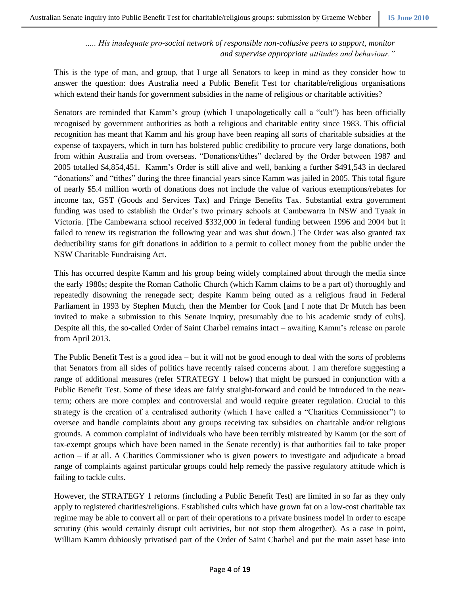*….. His inadequate pro-social network of responsible non-collusive peers to support, monitor and supervise appropriate attitudes and behaviour."*

This is the type of man, and group, that I urge all Senators to keep in mind as they consider how to answer the question: does Australia need a Public Benefit Test for charitable/religious organisations which extend their hands for government subsidies in the name of religious or charitable activities?

Senators are reminded that Kamm's group (which I unapologetically call a "cult") has been officially recognised by government authorities as both a religious and charitable entity since 1983. This official recognition has meant that Kamm and his group have been reaping all sorts of charitable subsidies at the expense of taxpayers, which in turn has bolstered public credibility to procure very large donations, both from within Australia and from overseas. "Donations/tithes" declared by the Order between 1987 and 2005 totalled \$4,854,451. Kamm's Order is still alive and well, banking a further \$491,543 in declared "donations" and "tithes" during the three financial years since Kamm was jailed in 2005. This total figure of nearly \$5.4 million worth of donations does not include the value of various exemptions/rebates for income tax, GST (Goods and Services Tax) and Fringe Benefits Tax. Substantial extra government funding was used to establish the Order's two primary schools at Cambewarra in NSW and Tyaak in Victoria. [The Cambewarra school received \$332,000 in federal funding between 1996 and 2004 but it failed to renew its registration the following year and was shut down.] The Order was also granted tax deductibility status for gift donations in addition to a permit to collect money from the public under the NSW Charitable Fundraising Act.

This has occurred despite Kamm and his group being widely complained about through the media since the early 1980s; despite the Roman Catholic Church (which Kamm claims to be a part of) thoroughly and repeatedly disowning the renegade sect; despite Kamm being outed as a religious fraud in Federal Parliament in 1993 by Stephen Mutch, then the Member for Cook [and I note that Dr Mutch has been invited to make a submission to this Senate inquiry, presumably due to his academic study of cults]. Despite all this, the so-called Order of Saint Charbel remains intact – awaiting Kamm's release on parole from April 2013.

The Public Benefit Test is a good idea – but it will not be good enough to deal with the sorts of problems that Senators from all sides of politics have recently raised concerns about. I am therefore suggesting a range of additional measures (refer STRATEGY 1 below) that might be pursued in conjunction with a Public Benefit Test. Some of these ideas are fairly straight-forward and could be introduced in the nearterm; others are more complex and controversial and would require greater regulation. Crucial to this strategy is the creation of a centralised authority (which I have called a "Charities Commissioner") to oversee and handle complaints about any groups receiving tax subsidies on charitable and/or religious grounds. A common complaint of individuals who have been terribly mistreated by Kamm (or the sort of tax-exempt groups which have been named in the Senate recently) is that authorities fail to take proper action – if at all. A Charities Commissioner who is given powers to investigate and adjudicate a broad range of complaints against particular groups could help remedy the passive regulatory attitude which is failing to tackle cults.

However, the STRATEGY 1 reforms (including a Public Benefit Test) are limited in so far as they only apply to registered charities/religions. Established cults which have grown fat on a low-cost charitable tax regime may be able to convert all or part of their operations to a private business model in order to escape scrutiny (this would certainly disrupt cult activities, but not stop them altogether). As a case in point, William Kamm dubiously privatised part of the Order of Saint Charbel and put the main asset base into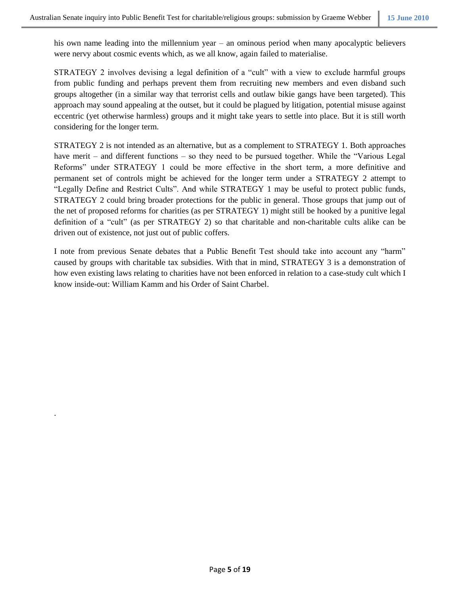his own name leading into the millennium year – an ominous period when many apocalyptic believers were nervy about cosmic events which, as we all know, again failed to materialise.

STRATEGY 2 involves devising a legal definition of a "cult" with a view to exclude harmful groups from public funding and perhaps prevent them from recruiting new members and even disband such groups altogether (in a similar way that terrorist cells and outlaw bikie gangs have been targeted). This approach may sound appealing at the outset, but it could be plagued by litigation, potential misuse against eccentric (yet otherwise harmless) groups and it might take years to settle into place. But it is still worth considering for the longer term.

STRATEGY 2 is not intended as an alternative, but as a complement to STRATEGY 1. Both approaches have merit – and different functions – so they need to be pursued together. While the "Various Legal" Reforms" under STRATEGY 1 could be more effective in the short term, a more definitive and permanent set of controls might be achieved for the longer term under a STRATEGY 2 attempt to "Legally Define and Restrict Cults". And while STRATEGY 1 may be useful to protect public funds, STRATEGY 2 could bring broader protections for the public in general. Those groups that jump out of the net of proposed reforms for charities (as per STRATEGY 1) might still be hooked by a punitive legal definition of a "cult" (as per STRATEGY 2) so that charitable and non-charitable cults alike can be driven out of existence, not just out of public coffers.

I note from previous Senate debates that a Public Benefit Test should take into account any "harm" caused by groups with charitable tax subsidies. With that in mind, STRATEGY 3 is a demonstration of how even existing laws relating to charities have not been enforced in relation to a case-study cult which I know inside-out: William Kamm and his Order of Saint Charbel.

.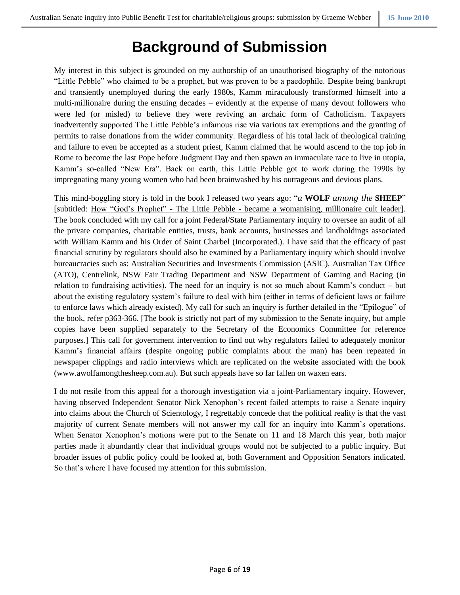# **Background of Submission**

My interest in this subject is grounded on my authorship of an unauthorised biography of the notorious "Little Pebble" who claimed to be a prophet, but was proven to be a paedophile. Despite being bankrupt and transiently unemployed during the early 1980s, Kamm miraculously transformed himself into a multi-millionaire during the ensuing decades – evidently at the expense of many devout followers who were led (or misled) to believe they were reviving an archaic form of Catholicism. Taxpayers inadvertently supported The Little Pebble's infamous rise via various tax exemptions and the granting of permits to raise donations from the wider community. Regardless of his total lack of theological training and failure to even be accepted as a student priest, Kamm claimed that he would ascend to the top job in Rome to become the last Pope before Judgment Day and then spawn an immaculate race to live in utopia, Kamm's so-called "New Era". Back on earth, this Little Pebble got to work during the 1990s by impregnating many young women who had been brainwashed by his outrageous and devious plans.

This mind-boggling story is told in the book I released two years ago: "*a* **WOLF** *among the* **SHEEP**" [subtitled: How "God's Prophet" - The Little Pebble - became a womanising, millionaire cult leader]. The book concluded with my call for a joint Federal/State Parliamentary inquiry to oversee an audit of all the private companies, charitable entities, trusts, bank accounts, businesses and landholdings associated with William Kamm and his Order of Saint Charbel (Incorporated.). I have said that the efficacy of past financial scrutiny by regulators should also be examined by a Parliamentary inquiry which should involve bureaucracies such as: Australian Securities and Investments Commission (ASIC), Australian Tax Office (ATO), Centrelink, NSW Fair Trading Department and NSW Department of Gaming and Racing (in relation to fundraising activities). The need for an inquiry is not so much about Kamm's conduct – but about the existing regulatory system's failure to deal with him (either in terms of deficient laws or failure to enforce laws which already existed). My call for such an inquiry is further detailed in the "Epilogue" of the book, refer p363-366. [The book is strictly not part of my submission to the Senate inquiry, but ample copies have been supplied separately to the Secretary of the Economics Committee for reference purposes.] This call for government intervention to find out why regulators failed to adequately monitor Kamm's financial affairs (despite ongoing public complaints about the man) has been repeated in newspaper clippings and radio interviews which are replicated on the website associated with the book (www.awolfamongthesheep.com.au). But such appeals have so far fallen on waxen ears.

I do not resile from this appeal for a thorough investigation via a joint-Parliamentary inquiry. However, having observed Independent Senator Nick Xenophon's recent failed attempts to raise a Senate inquiry into claims about the Church of Scientology, I regrettably concede that the political reality is that the vast majority of current Senate members will not answer my call for an inquiry into Kamm's operations. When Senator Xenophon's motions were put to the Senate on 11 and 18 March this year, both major parties made it abundantly clear that individual groups would not be subjected to a public inquiry. But broader issues of public policy could be looked at, both Government and Opposition Senators indicated. So that's where I have focused my attention for this submission.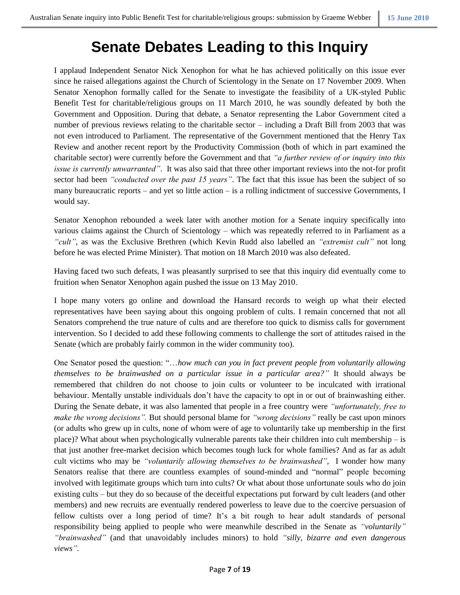# **Senate Debates Leading to this Inquiry**

I applaud Independent Senator Nick Xenophon for what he has achieved politically on this issue ever since he raised allegations against the Church of Scientology in the Senate on 17 November 2009. When Senator Xenophon formally called for the Senate to investigate the feasibility of a UK-styled Public Benefit Test for charitable/religious groups on 11 March 2010, he was soundly defeated by both the Government and Opposition. During that debate, a Senator representing the Labor Government cited a number of previous reviews relating to the charitable sector – including a Draft Bill from 2003 that was not even introduced to Parliament. The representative of the Government mentioned that the Henry Tax Review and another recent report by the Productivity Commission (both of which in part examined the charitable sector) were currently before the Government and that *"a further review of or inquiry into this issue is currently unwarranted"*. It was also said that three other important reviews into the not-for profit sector had been *"conducted over the past 15 years"*. The fact that this issue has been the subject of so many bureaucratic reports – and yet so little action – is a rolling indictment of successive Governments, I would say.

Senator Xenophon rebounded a week later with another motion for a Senate inquiry specifically into various claims against the Church of Scientology – which was repeatedly referred to in Parliament as a *"cult"*, as was the Exclusive Brethren (which Kevin Rudd also labelled an *"extremist cult"* not long before he was elected Prime Minister). That motion on 18 March 2010 was also defeated.

Having faced two such defeats, I was pleasantly surprised to see that this inquiry did eventually come to fruition when Senator Xenophon again pushed the issue on 13 May 2010.

I hope many voters go online and download the Hansard records to weigh up what their elected representatives have been saying about this ongoing problem of cults. I remain concerned that not all Senators comprehend the true nature of cults and are therefore too quick to dismiss calls for government intervention. So I decided to add these following comments to challenge the sort of attitudes raised in the Senate (which are probably fairly common in the wider community too).

One Senator posed the question: "…*how much can you in fact prevent people from voluntarily allowing themselves to be brainwashed on a particular issue in a particular area?"* It should always be remembered that children do not choose to join cults or volunteer to be inculcated with irrational behaviour. Mentally unstable individuals don't have the capacity to opt in or out of brainwashing either. During the Senate debate, it was also lamented that people in a free country were *"unfortunately, free to make the wrong decisions".* But should personal blame for *"wrong decisions"* really be cast upon minors (or adults who grew up in cults, none of whom were of age to voluntarily take up membership in the first place)? What about when psychologically vulnerable parents take their children into cult membership – is that just another free-market decision which becomes tough luck for whole families? And as far as adult cult victims who may be *"voluntarily allowing themselves to be brainwashed"*, I wonder how many Senators realise that there are countless examples of sound-minded and "normal" people becoming involved with legitimate groups which turn into cults? Or what about those unfortunate souls who do join existing cults – but they do so because of the deceitful expectations put forward by cult leaders (and other members) and new recruits are eventually rendered powerless to leave due to the coercive persuasion of fellow cultists over a long period of time? It's a bit rough to hear adult standards of personal responsibility being applied to people who were meanwhile described in the Senate as *"voluntarily" "brainwashed"* (and that unavoidably includes minors) to hold *"silly, bizarre and even dangerous views".*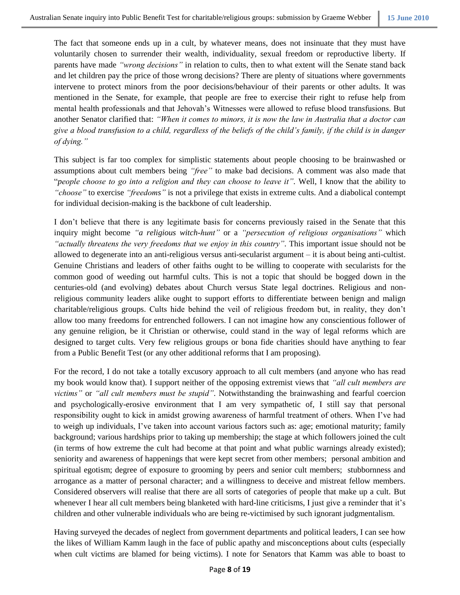The fact that someone ends up in a cult, by whatever means, does not insinuate that they must have voluntarily chosen to surrender their wealth, individuality, sexual freedom or reproductive liberty. If parents have made *"wrong decisions"* in relation to cults, then to what extent will the Senate stand back and let children pay the price of those wrong decisions? There are plenty of situations where governments intervene to protect minors from the poor decisions/behaviour of their parents or other adults. It was mentioned in the Senate, for example, that people are free to exercise their right to refuse help from mental health professionals and that Jehovah's Witnesses were allowed to refuse blood transfusions. But another Senator clarified that: *"When it comes to minors, it is now the law in Australia that a doctor can give a blood transfusion to a child, regardless of the beliefs of the child's family, if the child is in danger of dying."*

This subject is far too complex for simplistic statements about people choosing to be brainwashed or assumptions about cult members being *"free"* to make bad decisions. A comment was also made that "*people choose to go into a religion and they can choose to leave it".* Well, I know that the ability to *"choose"* to exercise *"freedoms"* is not a privilege that exists in extreme cults. And a diabolical contempt for individual decision-making is the backbone of cult leadership.

I don't believe that there is any legitimate basis for concerns previously raised in the Senate that this inquiry might become *"a religious witch-hunt"* or a *"persecution of religious organisations"* which *"actually threatens the very freedoms that we enjoy in this country".* This important issue should not be allowed to degenerate into an anti-religious versus anti-secularist argument – it is about being anti-cultist. Genuine Christians and leaders of other faiths ought to be willing to cooperate with secularists for the common good of weeding out harmful cults. This is not a topic that should be bogged down in the centuries-old (and evolving) debates about Church versus State legal doctrines. Religious and nonreligious community leaders alike ought to support efforts to differentiate between benign and malign charitable/religious groups. Cults hide behind the veil of religious freedom but, in reality, they don't allow too many freedoms for entrenched followers. I can not imagine how any conscientious follower of any genuine religion, be it Christian or otherwise, could stand in the way of legal reforms which are designed to target cults. Very few religious groups or bona fide charities should have anything to fear from a Public Benefit Test (or any other additional reforms that I am proposing).

For the record, I do not take a totally excusory approach to all cult members (and anyone who has read my book would know that). I support neither of the opposing extremist views that *"all cult members are victims"* or *"all cult members must be stupid"*. Notwithstanding the brainwashing and fearful coercion and psychologically-erosive environment that I am very sympathetic of, I still say that personal responsibility ought to kick in amidst growing awareness of harmful treatment of others. When I've had to weigh up individuals, I've taken into account various factors such as: age; emotional maturity; family background; various hardships prior to taking up membership; the stage at which followers joined the cult (in terms of how extreme the cult had become at that point and what public warnings already existed); seniority and awareness of happenings that were kept secret from other members; personal ambition and spiritual egotism; degree of exposure to grooming by peers and senior cult members; stubbornness and arrogance as a matter of personal character; and a willingness to deceive and mistreat fellow members. Considered observers will realise that there are all sorts of categories of people that make up a cult. But whenever I hear all cult members being blanketed with hard-line criticisms, I just give a reminder that it's children and other vulnerable individuals who are being re-victimised by such ignorant judgmentalism.

Having surveyed the decades of neglect from government departments and political leaders, I can see how the likes of William Kamm laugh in the face of public apathy and misconceptions about cults (especially when cult victims are blamed for being victims). I note for Senators that Kamm was able to boast to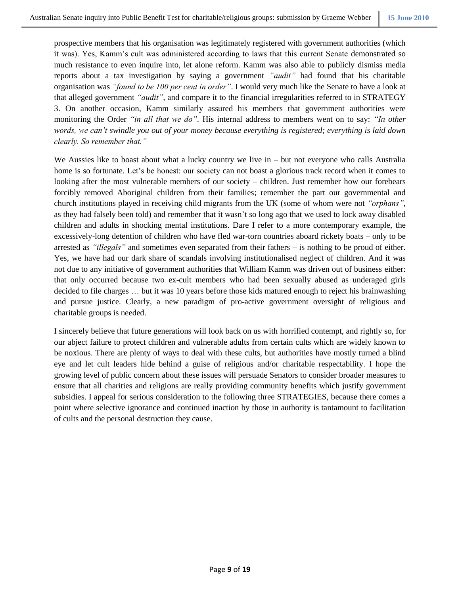prospective members that his organisation was legitimately registered with government authorities (which it was). Yes, Kamm's cult was administered according to laws that this current Senate demonstrated so much resistance to even inquire into, let alone reform. Kamm was also able to publicly dismiss media reports about a tax investigation by saying a government *"audit"* had found that his charitable organisation was *"found to be 100 per cent in order"*. I would very much like the Senate to have a look at that alleged government *"audit"*, and compare it to the financial irregularities referred to in STRATEGY 3. On another occasion, Kamm similarly assured his members that government authorities were monitoring the Order *"in all that we do".* His internal address to members went on to say: *"In other words, we can't swindle you out of your money because everything is registered; everything is laid down clearly. So remember that."*

We Aussies like to boast about what a lucky country we live in – but not everyone who calls Australia home is so fortunate. Let's be honest: our society can not boast a glorious track record when it comes to looking after the most vulnerable members of our society – children. Just remember how our forebears forcibly removed Aboriginal children from their families; remember the part our governmental and church institutions played in receiving child migrants from the UK (some of whom were not *"orphans"*, as they had falsely been told) and remember that it wasn't so long ago that we used to lock away disabled children and adults in shocking mental institutions. Dare I refer to a more contemporary example, the excessively-long detention of children who have fled war-torn countries aboard rickety boats – only to be arrested as *"illegals"* and sometimes even separated from their fathers – is nothing to be proud of either. Yes, we have had our dark share of scandals involving institutionalised neglect of children. And it was not due to any initiative of government authorities that William Kamm was driven out of business either: that only occurred because two ex-cult members who had been sexually abused as underaged girls decided to file charges … but it was 10 years before those kids matured enough to reject his brainwashing and pursue justice. Clearly, a new paradigm of pro-active government oversight of religious and charitable groups is needed.

I sincerely believe that future generations will look back on us with horrified contempt, and rightly so, for our abject failure to protect children and vulnerable adults from certain cults which are widely known to be noxious. There are plenty of ways to deal with these cults, but authorities have mostly turned a blind eye and let cult leaders hide behind a guise of religious and/or charitable respectability. I hope the growing level of public concern about these issues will persuade Senators to consider broader measures to ensure that all charities and religions are really providing community benefits which justify government subsidies. I appeal for serious consideration to the following three STRATEGIES, because there comes a point where selective ignorance and continued inaction by those in authority is tantamount to facilitation of cults and the personal destruction they cause.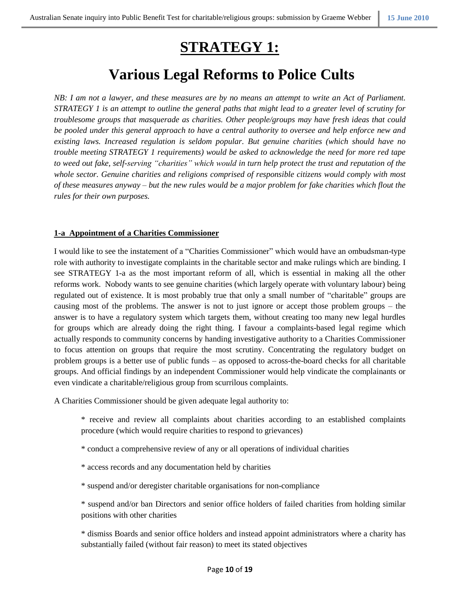# **STRATEGY 1:**

# **Various Legal Reforms to Police Cults**

*NB: I am not a lawyer, and these measures are by no means an attempt to write an Act of Parliament. STRATEGY 1 is an attempt to outline the general paths that might lead to a greater level of scrutiny for troublesome groups that masquerade as charities. Other people/groups may have fresh ideas that could be pooled under this general approach to have a central authority to oversee and help enforce new and existing laws. Increased regulation is seldom popular. But genuine charities (which should have no trouble meeting STRATEGY 1 requirements) would be asked to acknowledge the need for more red tape to weed out fake, self-serving "charities" which would in turn help protect the trust and reputation of the whole sector. Genuine charities and religions comprised of responsible citizens would comply with most of these measures anyway – but the new rules would be a major problem for fake charities which flout the rules for their own purposes.*

# **1-a Appointment of a Charities Commissioner**

I would like to see the instatement of a "Charities Commissioner" which would have an ombudsman-type role with authority to investigate complaints in the charitable sector and make rulings which are binding. I see STRATEGY 1-a as the most important reform of all, which is essential in making all the other reforms work. Nobody wants to see genuine charities (which largely operate with voluntary labour) being regulated out of existence. It is most probably true that only a small number of "charitable" groups are causing most of the problems. The answer is not to just ignore or accept those problem groups – the answer is to have a regulatory system which targets them, without creating too many new legal hurdles for groups which are already doing the right thing. I favour a complaints-based legal regime which actually responds to community concerns by handing investigative authority to a Charities Commissioner to focus attention on groups that require the most scrutiny. Concentrating the regulatory budget on problem groups is a better use of public funds – as opposed to across-the-board checks for all charitable groups. And official findings by an independent Commissioner would help vindicate the complainants or even vindicate a charitable/religious group from scurrilous complaints.

A Charities Commissioner should be given adequate legal authority to:

- \* receive and review all complaints about charities according to an established complaints procedure (which would require charities to respond to grievances)
- \* conduct a comprehensive review of any or all operations of individual charities
- \* access records and any documentation held by charities
- \* suspend and/or deregister charitable organisations for non-compliance

\* suspend and/or ban Directors and senior office holders of failed charities from holding similar positions with other charities

\* dismiss Boards and senior office holders and instead appoint administrators where a charity has substantially failed (without fair reason) to meet its stated objectives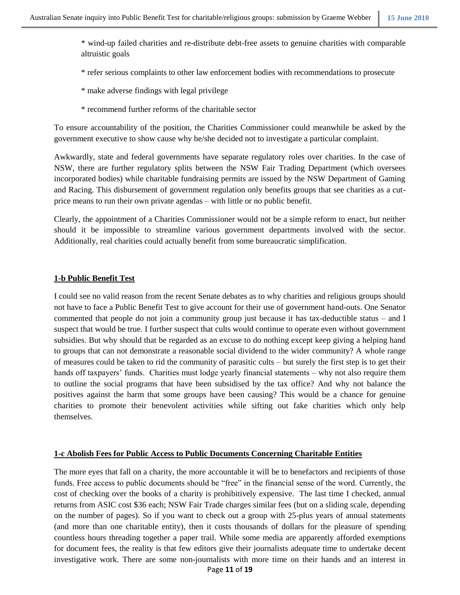\* wind-up failed charities and re-distribute debt-free assets to genuine charities with comparable altruistic goals

\* refer serious complaints to other law enforcement bodies with recommendations to prosecute

- \* make adverse findings with legal privilege
- \* recommend further reforms of the charitable sector

To ensure accountability of the position, the Charities Commissioner could meanwhile be asked by the government executive to show cause why he/she decided not to investigate a particular complaint.

Awkwardly, state and federal governments have separate regulatory roles over charities. In the case of NSW, there are further regulatory splits between the NSW Fair Trading Department (which oversees incorporated bodies) while charitable fundraising permits are issued by the NSW Department of Gaming and Racing. This disbursement of government regulation only benefits groups that see charities as a cutprice means to run their own private agendas – with little or no public benefit.

Clearly, the appointment of a Charities Commissioner would not be a simple reform to enact, but neither should it be impossible to streamline various government departments involved with the sector. Additionally, real charities could actually benefit from some bureaucratic simplification.

#### **1-b Public Benefit Test**

I could see no valid reason from the recent Senate debates as to why charities and religious groups should not have to face a Public Benefit Test to give account for their use of government hand-outs. One Senator commented that people do not join a community group just because it has tax-deductible status – and I suspect that would be true. I further suspect that cults would continue to operate even without government subsidies. But why should that be regarded as an excuse to do nothing except keep giving a helping hand to groups that can not demonstrate a reasonable social dividend to the wider community? A whole range of measures could be taken to rid the community of parasitic cults – but surely the first step is to get their hands off taxpayers' funds. Charities must lodge yearly financial statements – why not also require them to outline the social programs that have been subsidised by the tax office? And why not balance the positives against the harm that some groups have been causing? This would be a chance for genuine charities to promote their benevolent activities while sifting out fake charities which only help themselves.

#### **1-c Abolish Fees for Public Access to Public Documents Concerning Charitable Entities**

The more eyes that fall on a charity, the more accountable it will be to benefactors and recipients of those funds. Free access to public documents should be "free" in the financial sense of the word. Currently, the cost of checking over the books of a charity is prohibitively expensive. The last time I checked, annual returns from ASIC cost \$36 each; NSW Fair Trade charges similar fees (but on a sliding scale, depending on the number of pages). So if you want to check out a group with 25-plus years of annual statements (and more than one charitable entity), then it costs thousands of dollars for the pleasure of spending countless hours threading together a paper trail. While some media are apparently afforded exemptions for document fees, the reality is that few editors give their journalists adequate time to undertake decent investigative work. There are some non-journalists with more time on their hands and an interest in

Page **11** of **19**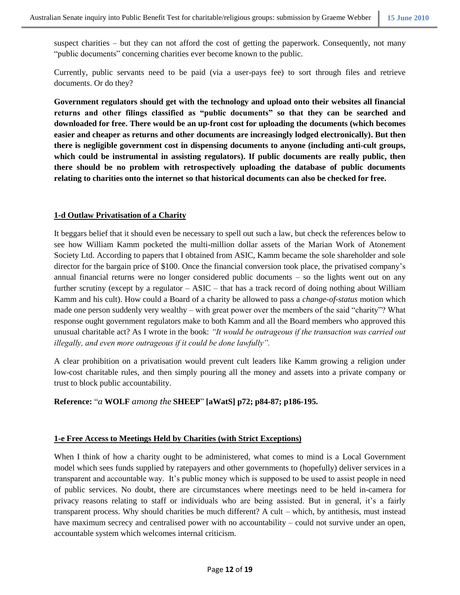suspect charities – but they can not afford the cost of getting the paperwork. Consequently, not many "public documents" concerning charities ever become known to the public.

Currently, public servants need to be paid (via a user-pays fee) to sort through files and retrieve documents. Or do they?

**Government regulators should get with the technology and upload onto their websites all financial returns and other filings classified as "public documents" so that they can be searched and downloaded for free. There would be an up-front cost for uploading the documents (which becomes easier and cheaper as returns and other documents are increasingly lodged electronically). But then there is negligible government cost in dispensing documents to anyone (including anti-cult groups, which could be instrumental in assisting regulators). If public documents are really public, then there should be no problem with retrospectively uploading the database of public documents relating to charities onto the internet so that historical documents can also be checked for free.**

### **1-d Outlaw Privatisation of a Charity**

It beggars belief that it should even be necessary to spell out such a law, but check the references below to see how William Kamm pocketed the multi-million dollar assets of the Marian Work of Atonement Society Ltd. According to papers that I obtained from ASIC, Kamm became the sole shareholder and sole director for the bargain price of \$100. Once the financial conversion took place, the privatised company's annual financial returns were no longer considered public documents – so the lights went out on any further scrutiny (except by a regulator – ASIC – that has a track record of doing nothing about William Kamm and his cult). How could a Board of a charity be allowed to pass a *change-of-status* motion which made one person suddenly very wealthy – with great power over the members of the said "charity"? What response ought government regulators make to both Kamm and all the Board members who approved this unusual charitable act? As I wrote in the book: *"It would be outrageous if the transaction was carried out illegally, and even more outrageous if it could be done lawfully".*

A clear prohibition on a privatisation would prevent cult leaders like Kamm growing a religion under low-cost charitable rules, and then simply pouring all the money and assets into a private company or trust to block public accountability.

### **Reference:** "*a* **WOLF** *among the* **SHEEP**" **[aWatS] p72; p84-87; p186-195.**

### **1-e Free Access to Meetings Held by Charities (with Strict Exceptions)**

When I think of how a charity ought to be administered, what comes to mind is a Local Government model which sees funds supplied by ratepayers and other governments to (hopefully) deliver services in a transparent and accountable way. It's public money which is supposed to be used to assist people in need of public services. No doubt, there are circumstances where meetings need to be held in-camera for privacy reasons relating to staff or individuals who are being assisted. But in general, it's a fairly transparent process. Why should charities be much different? A cult – which, by antithesis, must instead have maximum secrecy and centralised power with no accountability – could not survive under an open, accountable system which welcomes internal criticism.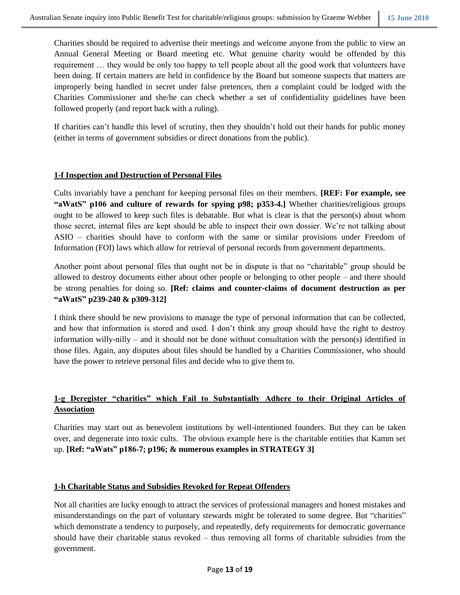Charities should be required to advertise their meetings and welcome anyone from the public to view an Annual General Meeting or Board meeting etc. What genuine charity would be offended by this requirement … they would be only too happy to tell people about all the good work that volunteers have been doing. If certain matters are held in confidence by the Board but someone suspects that matters are improperly being handled in secret under false pretences, then a complaint could be lodged with the Charities Commissioner and she/he can check whether a set of confidentiality guidelines have been followed properly (and report back with a ruling).

If charities can't handle this level of scrutiny, then they shouldn't hold out their hands for public money (either in terms of government subsidies or direct donations from the public).

### **1-f Inspection and Destruction of Personal Files**

Cults invariably have a penchant for keeping personal files on their members. **[REF: For example, see "aWatS" p106 and culture of rewards for spying p98; p353-4.]** Whether charities/religious groups ought to be allowed to keep such files is debatable. But what is clear is that the person(s) about whom those secret, internal files are kept should be able to inspect their own dossier. We're not talking about ASIO – charities should have to conform with the same or similar provisions under Freedom of Information (FOI) laws which allow for retrieval of personal records from government departments.

Another point about personal files that ought not be in dispute is that no "charitable" group should be allowed to destroy documents either about other people or belonging to other people – and there should be strong penalties for doing so. **[Ref: claims and counter-claims of document destruction as per "aWatS" p239-240 & p309-312]**

I think there should be new provisions to manage the type of personal information that can be collected, and how that information is stored and used. I don't think any group should have the right to destroy information willy-nilly – and it should not be done without consultation with the person(s) identified in those files. Again, any disputes about files should be handled by a Charities Commissioner, who should have the power to retrieve personal files and decide who to give them to.

# **1-g Deregister "charities" which Fail to Substantially Adhere to their Original Articles of Association**

Charities may start out as benevolent institutions by well-intentioned founders. But they can be taken over, and degenerate into toxic cults. The obvious example here is the charitable entities that Kamm set up. **[Ref: "aWats" p186-7; p196; & numerous examples in STRATEGY 3]**

# **1-h Charitable Status and Subsidies Revoked for Repeat Offenders**

Not all charities are lucky enough to attract the services of professional managers and honest mistakes and misunderstandings on the part of voluntary stewards might be tolerated to some degree. But "charities" which demonstrate a tendency to purposely, and repeatedly, defy requirements for democratic governance should have their charitable status revoked – thus removing all forms of charitable subsidies from the government.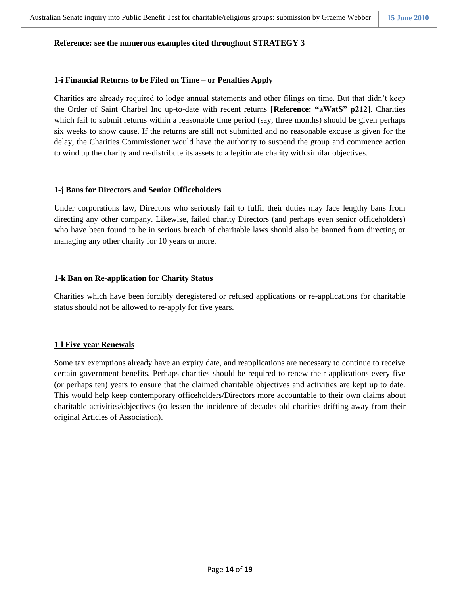#### **Reference: see the numerous examples cited throughout STRATEGY 3**

#### **1-i Financial Returns to be Filed on Time – or Penalties Apply**

Charities are already required to lodge annual statements and other filings on time. But that didn't keep the Order of Saint Charbel Inc up-to-date with recent returns [**Reference: "aWatS" p212**]. Charities which fail to submit returns within a reasonable time period (say, three months) should be given perhaps six weeks to show cause. If the returns are still not submitted and no reasonable excuse is given for the delay, the Charities Commissioner would have the authority to suspend the group and commence action to wind up the charity and re-distribute its assets to a legitimate charity with similar objectives.

### **1-j Bans for Directors and Senior Officeholders**

Under corporations law, Directors who seriously fail to fulfil their duties may face lengthy bans from directing any other company. Likewise, failed charity Directors (and perhaps even senior officeholders) who have been found to be in serious breach of charitable laws should also be banned from directing or managing any other charity for 10 years or more.

### **1-k Ban on Re-application for Charity Status**

Charities which have been forcibly deregistered or refused applications or re-applications for charitable status should not be allowed to re-apply for five years.

### **1-l Five-year Renewals**

Some tax exemptions already have an expiry date, and reapplications are necessary to continue to receive certain government benefits. Perhaps charities should be required to renew their applications every five (or perhaps ten) years to ensure that the claimed charitable objectives and activities are kept up to date. This would help keep contemporary officeholders/Directors more accountable to their own claims about charitable activities/objectives (to lessen the incidence of decades-old charities drifting away from their original Articles of Association).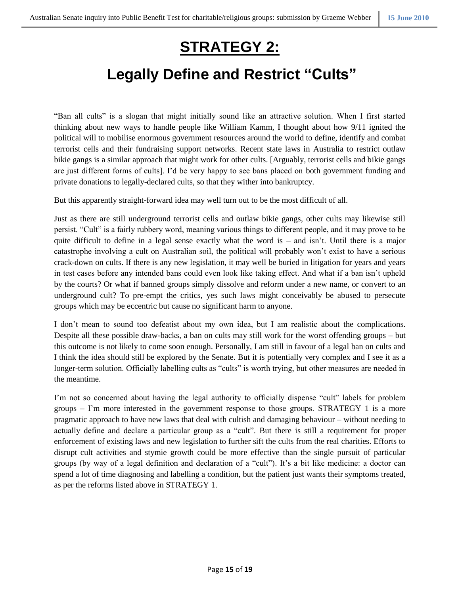# **STRATEGY 2:**

# **Legally Define and Restrict "Cults"**

"Ban all cults" is a slogan that might initially sound like an attractive solution. When I first started thinking about new ways to handle people like William Kamm, I thought about how 9/11 ignited the political will to mobilise enormous government resources around the world to define, identify and combat terrorist cells and their fundraising support networks. Recent state laws in Australia to restrict outlaw bikie gangs is a similar approach that might work for other cults. [Arguably, terrorist cells and bikie gangs are just different forms of cults]. I'd be very happy to see bans placed on both government funding and private donations to legally-declared cults, so that they wither into bankruptcy.

But this apparently straight-forward idea may well turn out to be the most difficult of all.

Just as there are still underground terrorist cells and outlaw bikie gangs, other cults may likewise still persist. "Cult" is a fairly rubbery word, meaning various things to different people, and it may prove to be quite difficult to define in a legal sense exactly what the word is – and isn't. Until there is a major catastrophe involving a cult on Australian soil, the political will probably won't exist to have a serious crack-down on cults. If there is any new legislation, it may well be buried in litigation for years and years in test cases before any intended bans could even look like taking effect. And what if a ban isn't upheld by the courts? Or what if banned groups simply dissolve and reform under a new name, or convert to an underground cult? To pre-empt the critics, yes such laws might conceivably be abused to persecute groups which may be eccentric but cause no significant harm to anyone.

I don't mean to sound too defeatist about my own idea, but I am realistic about the complications. Despite all these possible draw-backs, a ban on cults may still work for the worst offending groups – but this outcome is not likely to come soon enough. Personally, I am still in favour of a legal ban on cults and I think the idea should still be explored by the Senate. But it is potentially very complex and I see it as a longer-term solution. Officially labelling cults as "cults" is worth trying, but other measures are needed in the meantime.

I'm not so concerned about having the legal authority to officially dispense "cult" labels for problem groups – I'm more interested in the government response to those groups. STRATEGY 1 is a more pragmatic approach to have new laws that deal with cultish and damaging behaviour – without needing to actually define and declare a particular group as a "cult". But there is still a requirement for proper enforcement of existing laws and new legislation to further sift the cults from the real charities. Efforts to disrupt cult activities and stymie growth could be more effective than the single pursuit of particular groups (by way of a legal definition and declaration of a "cult"). It's a bit like medicine: a doctor can spend a lot of time diagnosing and labelling a condition, but the patient just wants their symptoms treated, as per the reforms listed above in STRATEGY 1.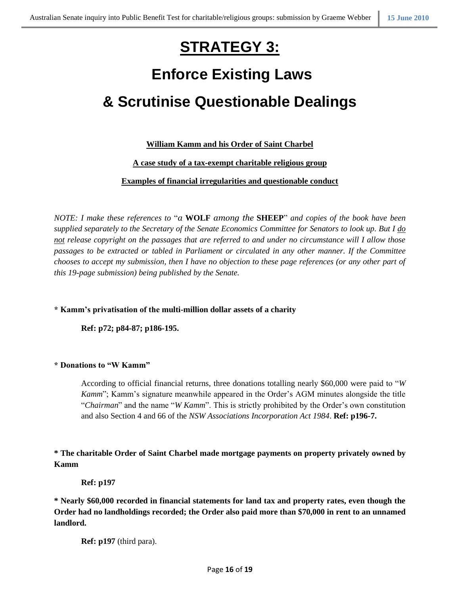# **STRATEGY 3:**

# **Enforce Existing Laws & Scrutinise Questionable Dealings**

# **William Kamm and his Order of Saint Charbel**

# **A case study of a tax-exempt charitable religious group**

# **Examples of financial irregularities and questionable conduct**

*NOTE: I make these references to* "*a* **WOLF** *among the* **SHEEP**" *and copies of the book have been supplied separately to the Secretary of the Senate Economics Committee for Senators to look up. But I do not release copyright on the passages that are referred to and under no circumstance will I allow those passages to be extracted or tabled in Parliament or circulated in any other manner. If the Committee chooses to accept my submission, then I have no objection to these page references (or any other part of this 19-page submission) being published by the Senate.*

# **\* Kamm's privatisation of the multi-million dollar assets of a charity**

**Ref: p72; p84-87; p186-195.**

### **\* Donations to "W Kamm"**

According to official financial returns, three donations totalling nearly \$60,000 were paid to "*W Kamm*"; Kamm's signature meanwhile appeared in the Order's AGM minutes alongside the title "*Chairman*" and the name "*W Kamm*". This is strictly prohibited by the Order's own constitution and also Section 4 and 66 of the *NSW Associations Incorporation Act 1984*. **Ref: p196-7.**

# **\* The charitable Order of Saint Charbel made mortgage payments on property privately owned by Kamm**

**Ref: p197**

**\* Nearly \$60,000 recorded in financial statements for land tax and property rates, even though the Order had no landholdings recorded; the Order also paid more than \$70,000 in rent to an unnamed landlord.**

**Ref: p197** (third para).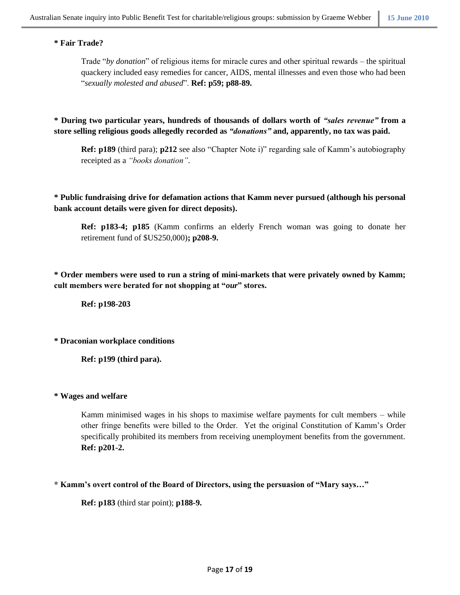### **\* Fair Trade?**

Trade "*by donation*" of religious items for miracle cures and other spiritual rewards – the spiritual quackery included easy remedies for cancer, AIDS, mental illnesses and even those who had been "*sexually molested and abused*". **Ref: p59; p88-89.**

**\* During two particular years, hundreds of thousands of dollars worth of** *"sales revenue"* **from a store selling religious goods allegedly recorded as** *"donations"* **and, apparently, no tax was paid.**

**Ref: p189** (third para); **p212** see also "Chapter Note i)" regarding sale of Kamm's autobiography receipted as a *"books donation"*.

**\* Public fundraising drive for defamation actions that Kamm never pursued (although his personal bank account details were given for direct deposits).**

**Ref: p183-4; p185** (Kamm confirms an elderly French woman was going to donate her retirement fund of \$US250,000)**; p208-9.**

**\* Order members were used to run a string of mini-markets that were privately owned by Kamm; cult members were berated for not shopping at "***our***" stores.**

**Ref: p198-203**

**\* Draconian workplace conditions**

**Ref: p199 (third para).**

### **\* Wages and welfare**

Kamm minimised wages in his shops to maximise welfare payments for cult members – while other fringe benefits were billed to the Order. Yet the original Constitution of Kamm's Order specifically prohibited its members from receiving unemployment benefits from the government. **Ref: p201-2.**

**\* Kamm's overt control of the Board of Directors, using the persuasion of "Mary says…"**

**Ref: p183** (third star point); **p188-9.**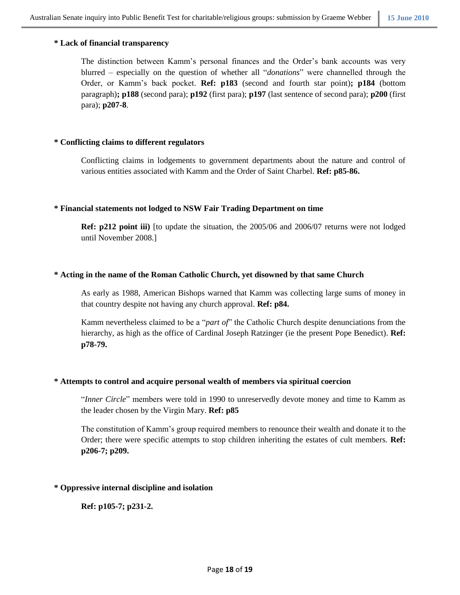# **\* Lack of financial transparency**

The distinction between Kamm's personal finances and the Order's bank accounts was very blurred – especially on the question of whether all "*donations*" were channelled through the Order, or Kamm's back pocket. **Ref: p183** (second and fourth star point)**; p184** (bottom paragraph)**; p188** (second para); **p192** (first para); **p197** (last sentence of second para); **p200** (first para); **p207-8**.

# **\* Conflicting claims to different regulators**

Conflicting claims in lodgements to government departments about the nature and control of various entities associated with Kamm and the Order of Saint Charbel. **Ref: p85-86.**

### **\* Financial statements not lodged to NSW Fair Trading Department on time**

**Ref: p212 point iii)** [to update the situation, the 2005/06 and 2006/07 returns were not lodged until November 2008.]

# **\* Acting in the name of the Roman Catholic Church, yet disowned by that same Church**

As early as 1988, American Bishops warned that Kamm was collecting large sums of money in that country despite not having any church approval. **Ref: p84.**

Kamm nevertheless claimed to be a "*part of*" the Catholic Church despite denunciations from the hierarchy, as high as the office of Cardinal Joseph Ratzinger (ie the present Pope Benedict). **Ref: p78-79.**

### **\* Attempts to control and acquire personal wealth of members via spiritual coercion**

"*Inner Circle*" members were told in 1990 to unreservedly devote money and time to Kamm as the leader chosen by the Virgin Mary. **Ref: p85**

The constitution of Kamm's group required members to renounce their wealth and donate it to the Order; there were specific attempts to stop children inheriting the estates of cult members. **Ref: p206-7; p209.**

### **\* Oppressive internal discipline and isolation**

**Ref: p105-7; p231-2.**